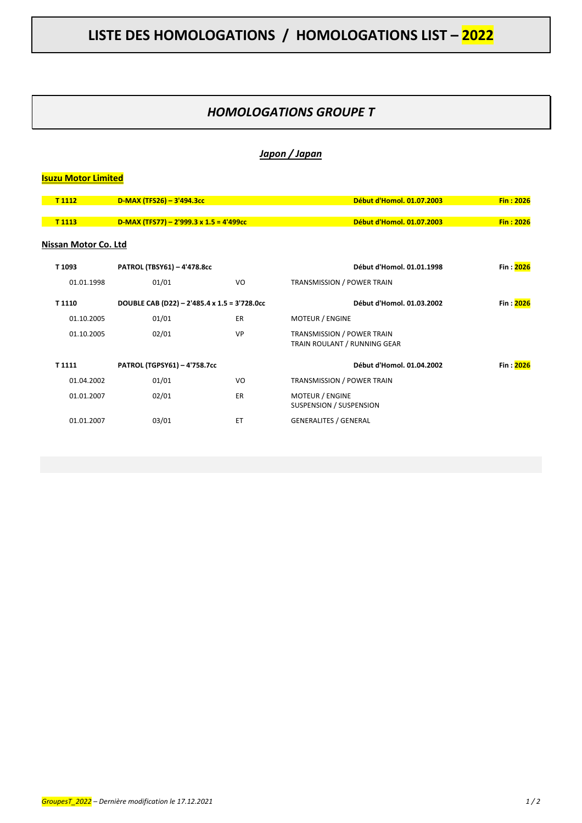## *HOMOLOGATIONS GROUPE T*

#### *Japon / Japan*

# **Isuzu Motor Limited T 1112 D-MAX (TFS26) – 3'494.3cc Début d'Homol. 01.07.2003 Fin : 2026 T 1113 D-MAX (TFS77) – 2'999.3 x 1.5 = 4'499cc Début d'Homol. 01.07.2003 Fin : 2026 Nissan Motor Co. Ltd T 1093 PATROL (TBSY61) – 4'478.8cc Début d'Homol. 01.01.1998 Fin : 2026** 01.01.1998 01/01 VO TRANSMISSION / POWER TRAIN **T 1110 DOUBLE CAB (D22) – 2'485.4 x 1.5 = 3'728.0cc Début d'Homol. 01.03.2002 Fin : 2026** 01.10.2005 01/01 ER MOTEUR / ENGINE 01.10.2005 02/01 02/01 VP TRANSMISSION / POWER TRAIN TRAIN ROULANT / RUNNING GEAR **T 1111 PATROL (TGPSY61) – 4'758.7cc Début d'Homol. 01.04.2002 Fin : 2026** 01.04.2002 01/01 VO TRANSMISSION / POWER TRAIN 01.01.2007 02/01 ER MOTEUR / ENGINE SUSPENSION / SUSPENSION 01.01.2007 03/01 ET GENERALITES / GENERAL